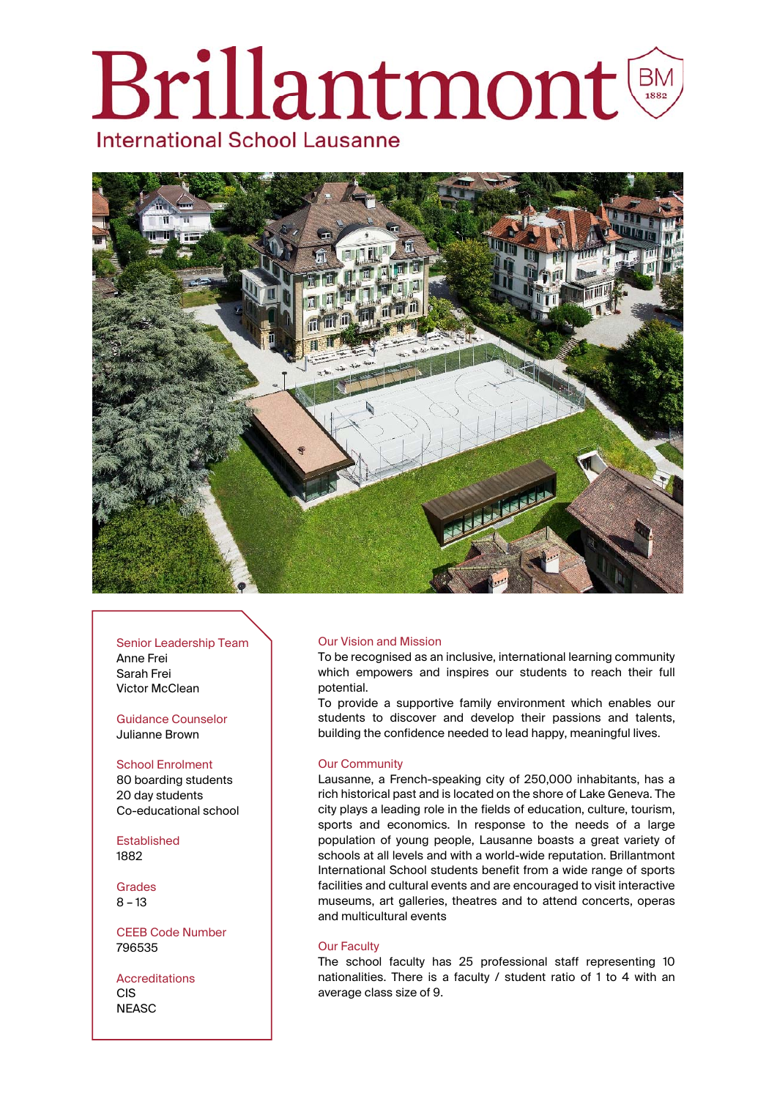# **Brillantmont International School Lausanne**



### Senior Leadership Team

Anne Frei Sarah Frei Victor McClean

## Guidance Counselor Julianne Brown

# School Enrolment

80 boarding students 20 day students Co-educational school

Established 1882

Grades 8 – 13

CEEB Code Number 796535

Accreditations CIS **NEASC** 

# Our Vision and Mission

To be recognised as an inclusive, international learning community which empowers and inspires our students to reach their full potential.

To provide a supportive family environment which enables our students to discover and develop their passions and talents, building the confidence needed to lead happy, meaningful lives.

# Our Community

Lausanne, a French-speaking city of 250,000 inhabitants, has a rich historical past and is located on the shore of Lake Geneva. The city plays a leading role in the fields of education, culture, tourism, sports and economics. In response to the needs of a large population of young people, Lausanne boasts a great variety of schools at all levels and with a world-wide reputation. Brillantmont International School students benefit from a wide range of sports facilities and cultural events and are encouraged to visit interactive museums, art galleries, theatres and to attend concerts, operas and multicultural events

# Our Faculty

The school faculty has 25 professional staff representing 10 nationalities. There is a faculty / student ratio of 1 to 4 with an average class size of 9.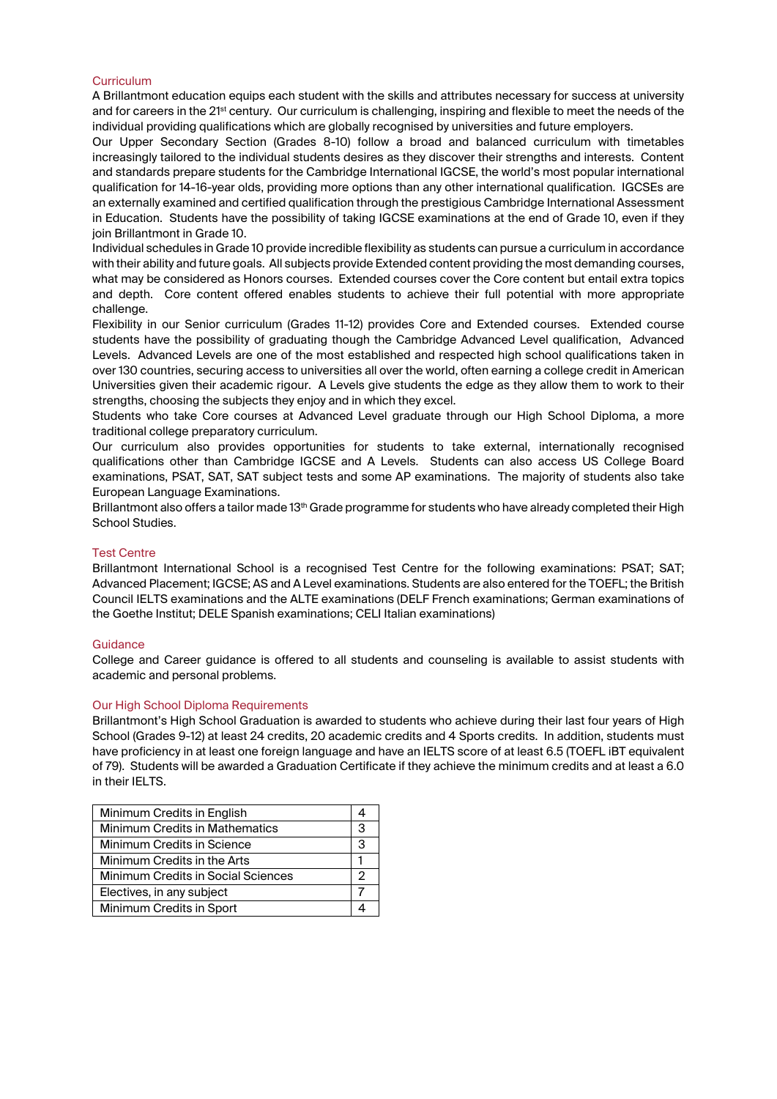## Curriculum

A Brillantmont education equips each student with the skills and attributes necessary for success at university and for careers in the 21st century. Our curriculum is challenging, inspiring and flexible to meet the needs of the individual providing qualifications which are globally recognised by universities and future employers.

Our Upper Secondary Section (Grades 8-10) follow a broad and balanced curriculum with timetables increasingly tailored to the individual students desires as they discover their strengths and interests. Content and standards prepare students for the Cambridge International IGCSE, the world's most popular international qualification for 14-16-year olds, providing more options than any other international qualification. IGCSEs are an externally examined and certified qualification through the prestigious Cambridge International Assessment in Education. Students have the possibility of taking IGCSE examinations at the end of Grade 10, even if they join Brillantmont in Grade 10.

Individual schedules in Grade 10 provide incredible flexibility as students can pursue a curriculum in accordance with their ability and future goals. All subjects provide Extended content providing the most demanding courses, what may be considered as Honors courses. Extended courses cover the Core content but entail extra topics and depth. Core content offered enables students to achieve their full potential with more appropriate challenge.

Flexibility in our Senior curriculum (Grades 11-12) provides Core and Extended courses. Extended course students have the possibility of graduating though the Cambridge Advanced Level qualification, Advanced Levels. Advanced Levels are one of the most established and respected high school qualifications taken in over 130 countries, securing access to universities all over the world, often earning a college credit in American Universities given their academic rigour. A Levels give students the edge as they allow them to work to their strengths, choosing the subjects they enjoy and in which they excel.

Students who take Core courses at Advanced Level graduate through our High School Diploma, a more traditional college preparatory curriculum.

Our curriculum also provides opportunities for students to take external, internationally recognised qualifications other than Cambridge IGCSE and A Levels. Students can also access US College Board examinations, PSAT, SAT, SAT subject tests and some AP examinations. The majority of students also take European Language Examinations.

Brillantmont also offers a tailor made 13<sup>th</sup> Grade programme for students who have already completed their High School Studies.

## Test Centre

Brillantmont International School is a recognised Test Centre for the following examinations: PSAT; SAT; Advanced Placement; IGCSE; AS and A Level examinations. Students are also entered for the TOEFL; the British Council IELTS examinations and the ALTE examinations (DELF French examinations; German examinations of the Goethe Institut; DELE Spanish examinations; CELI Italian examinations)

### Guidance

College and Career guidance is offered to all students and counseling is available to assist students with academic and personal problems.

### Our High School Diploma Requirements

Brillantmont's High School Graduation is awarded to students who achieve during their last four years of High School (Grades 9-12) at least 24 credits, 20 academic credits and 4 Sports credits. In addition, students must have proficiency in at least one foreign language and have an IELTS score of at least 6.5 (TOEFL iBT equivalent of 79). Students will be awarded a Graduation Certificate if they achieve the minimum credits and at least a 6.0 in their IELTS.

| Minimum Credits in English                |   |
|-------------------------------------------|---|
| <b>Minimum Credits in Mathematics</b>     | З |
| Minimum Credits in Science                | 3 |
| Minimum Credits in the Arts               |   |
| <b>Minimum Credits in Social Sciences</b> | 2 |
| Electives, in any subject                 |   |
| Minimum Credits in Sport                  |   |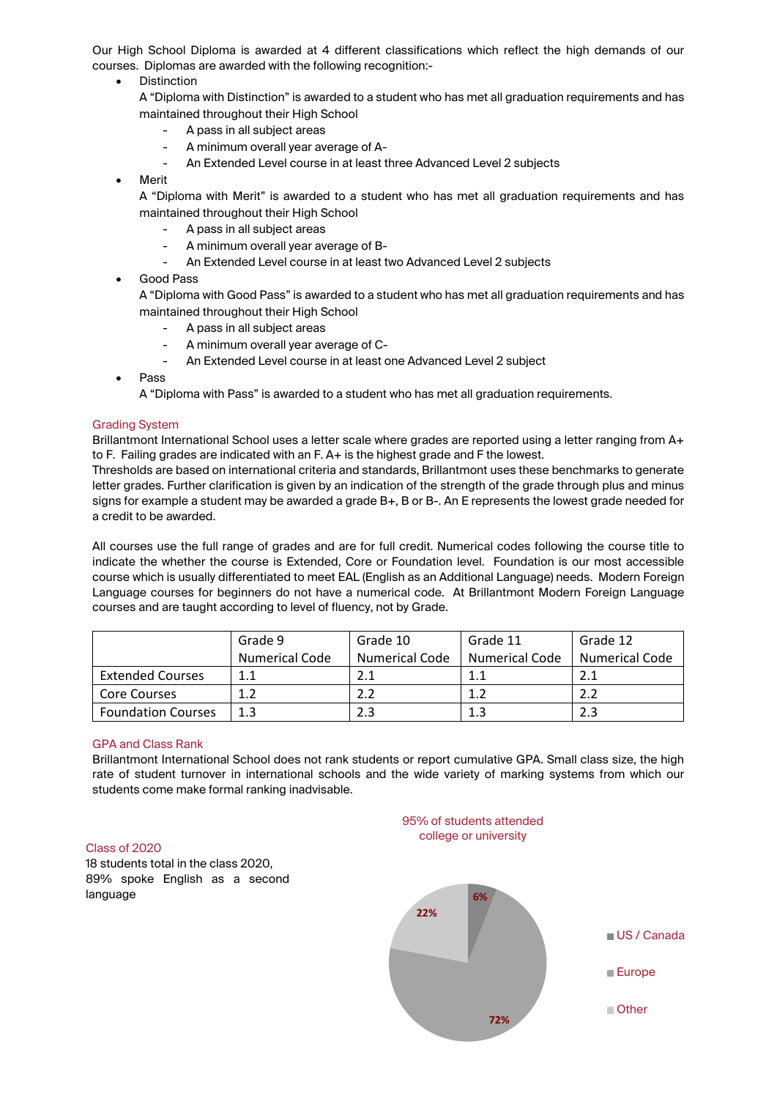Our High School Diploma is awarded at 4 different classifications which reflect the high demands of our courses. Diplomas are awarded with the following recognition:-

- Distinction
	- A "Diploma with Distinction" is awarded to a student who has met all graduation requirements and has maintained throughout their High School
		- A pass in all subject areas
		- A minimum overall year average of A-
		- An Extended Level course in at least three Advanced Level 2 subjects
- Merit

A "Diploma with Merit" is awarded to a student who has met all graduation requirements and has maintained throughout their High School

- A pass in all subject areas
- A minimum overall year average of B-
- An Extended Level course in at least two Advanced Level 2 subjects
- Good Pass

A "Diploma with Good Pass" is awarded to a student who has met all graduation requirements and has maintained throughout their High School

- A pass in all subject areas
- A minimum overall year average of C-
- An Extended Level course in at least one Advanced Level 2 subject
- Pass

A "Diploma with Pass" is awarded to a student who has met all graduation requirements.

### Grading System

Brillantmont International School uses a letter scale where grades are reported using a letter ranging from A+ to F. Failing grades are indicated with an F. A+ is the highest grade and F the lowest.

Thresholds are based on international criteria and standards, Brillantmont uses these benchmarks to generate letter grades. Further clarification is given by an indication of the strength of the grade through plus and minus signs for example a student may be awarded a grade B+, B or B-. An E represents the lowest grade needed for a credit to be awarded.

All courses use the full range of grades and are for full credit. Numerical codes following the course title to indicate the whether the course is Extended, Core or Foundation level. Foundation is our most accessible course which is usually differentiated to meet EAL (English as an Additional Language) needs. Modern Foreign Language courses for beginners do not have a numerical code. At Brillantmont Modern Foreign Language courses and are taught according to level of fluency, not by Grade.

|                           | Grade 9               | Grade 10              | Grade 11              | Grade 12              |
|---------------------------|-----------------------|-----------------------|-----------------------|-----------------------|
|                           | <b>Numerical Code</b> | <b>Numerical Code</b> | <b>Numerical Code</b> | <b>Numerical Code</b> |
| <b>Extended Courses</b>   |                       | 2.1                   | 1.1                   | 2.1                   |
| <b>Core Courses</b>       |                       |                       | 1.2                   | 2.2                   |
| <b>Foundation Courses</b> | 1.3                   | 2.3                   | 1.3                   | 2.3                   |

### GPA and Class Rank

Brillantmont International School does not rank students or report cumulative GPA. Small class size, the high rate of student turnover in international schools and the wide variety of marking systems from which our students come make formal ranking inadvisable.

## Class of 2020

18 students total in the class 2020, 89% spoke English as a second language **6%**